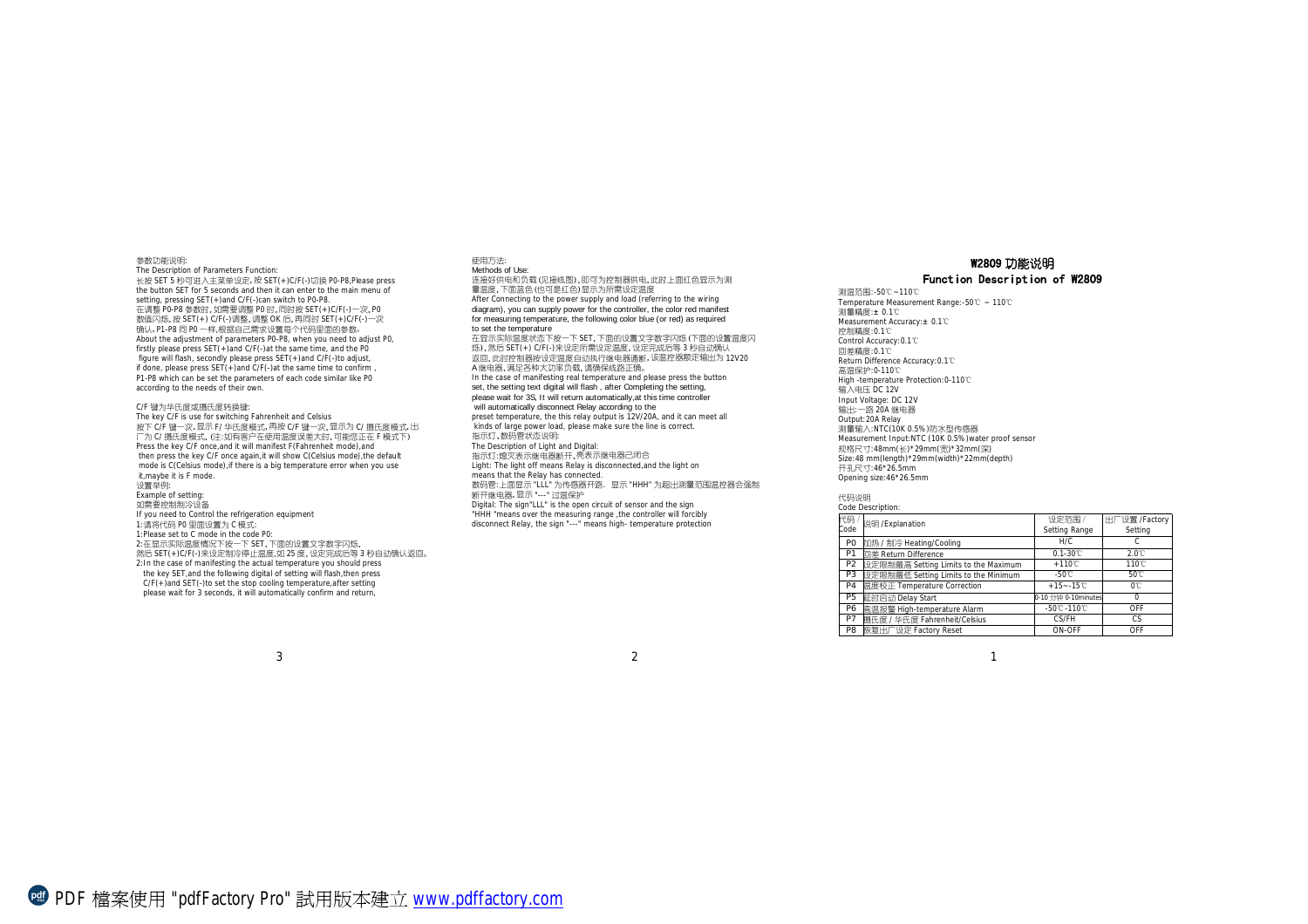参数功能说明: The Description of Parameters Function: 长按 SET 5 秒可进入主菜单设定,按 SET(+)C/F(-)切换 P0-P8,Please press the button SET for 5 seconds and then it can enter to the main menu of setting, pressing SET(+)and C/F(-)can switch to P0-P8. 在调整 P0-P8 参数时,如需要调整 P0 时,同时按 SET(+)C/F(-)一次,P0 数值闪烁,按 SET(+) C/F(-)调整,调整 OK 后,再同时 SET(+)C/F(-)一次 确认,P1-P8 同 P0 一样,根据自己需求设置每个代码里面的参数。 About the adjustment of parameters P0-P8, when you need to adjust P0, firstly please press SET(+)and C/F(-)at the same time, and the P0 figure will flash, secondly please press SET(+)and C/F(-)to adjust, if done, please press  $SET(+)$ and  $C/F(.)$ at the same time to confirm P1-P8 which can be set the parameters of each code similar like P0 according to the needs of their own. C/F 键为华氏度或摄氏度转换键: The key C/F is use for switching Fahrenheit and Celsius

按下 C/F 键一次,显示 F/ 华氏度模式,再按 C/F 键一次,显示为 C/ 摄氏度模式,出 厂为 C/ 摄氏度模式,(注:如有客户在使用温度误差大时,可能您正在 F 模式下) Press the key C/F once, and it will manifest F(Fahrenheit mode), and then press the key C/F once again, it will show C(Celsius mode), the default mode is C(Celsius mode),if there is a big temperature error when you use it,maybe it is F mode. 设置举例: Example of setting: 如需要控制制冷设备 If you need to Control the refrigeration equipment 1:请将代码 P0 里面设置为 C 模式: 1:Please set to C mode in the code P0: 2:在显示实际温度情况下按一下 SET,下面的设置文字数字闪烁, 然后 SET(+)C/F(-)来设定制冷停止温度,如 25 度,设定完成后等 3 秒自动确认返回。 2:In the case of manifesting the actual temperature you should press the key SET,and the following digital of setting will flash,then press

连接好供电和负载(见接线图),即可为控制器供电,此时上面红色显示为测 量温度,下面蓝色(也可是红色)显示为所需设定温度 After Connecting to the power supply and load (referring to the wiring diagram), you can supply power for the controller, the color red manifest for measuring temperature, the following color blue (or red) as required to set the temperature 在显示实际温度状态下按一下 SET,下面的设置文字数字闪烁(下面的设置温度闪 烁),然后 SET(+) C/F(-)来设定所需设定温度,设定完成后等 3 秒自动确认 返回,此时控制器按设定温度自动执行继电器通断,该温控器额定输出为 12V20 A继电器,满足各种大功率负载,请确保线路正确。 In the case of manifesting real temperature and please press the button set, the setting text digital will flash , after Completing the setting, please wait for 3S, It will return automatically,at this time controller will automatically disconnect Relay according to the preset temperature, the this relay output is 12V/20A, and it can meet all kinds of large power load, please make sure the line is correct. 指示灯、数码管状态说明: The Description of Light and Digital: 指示灯:熄灭表示继电器断开、亮表示继电器已闭合 Light: The light off means Relay is disconnected, and the light on means that the Relay has connected. 数码管:上面显示 "LLL" 为传感器开路.显示 "HHH" 为超出测量范围温控器会强制 断开继电器,显示 "---" 过温保护 Digital: The sign"LLL" is the open circuit of sensor and the sign "HHH "means over the measuring range ,the controller will forcibly disconnect Relay, the sign "---" means high- temperature protection

使用方法: Methods of Use:

## W2809 功能说明

## Function Description of W2809

测温范围:-50℃~110℃ Temperature Measurement Range:-50℃ ~ 110℃ 测量精度:± 0.1℃ Measurement Accuracy:± 0.1℃ 控制精度:0.1℃ Control Accuracy:0.1℃ 回差精度:0.1℃ Return Difference Accuracy:0.1℃ 高温保护:0-110℃ High -temperature Protection:0-110℃ 输入电压 DC 12V Input Voltage: DC 12V 输出:一路 20A 继电器 Output:20A Relay 测量输入:NTC(10K 0.5%)防水型传感器 Measurement Input:NTC (10K 0.5%)water proof sensor 规格尺寸:48mm(长)\*29mm(宽)\*32mm(深) Size:48 mm(length)\*29mm(width)\*22mm(depth) 开孔尺寸:46\*26.5mm Opening size:46\*26.5mm

## 代码说明

| Code Description: |                                      |                                  |                          |
|-------------------|--------------------------------------|----------------------------------|--------------------------|
| 代码<br>Code        | 说明/Explanation                       | 设定范围/<br>Setting Range           | 出厂设置 /Factory<br>Setting |
| P <sub>0</sub>    | 加热 / 制冷 Heating/Cooling              | H/C                              | C                        |
| P <sub>1</sub>    | 回差 Return Difference                 | $0.1 - 30^{\circ}$ C             | $2.0^\circ$              |
| P <sub>2</sub>    | 設定限制最高 Setting Limits to the Maximum | $+110^{\circ}$                   | 110 <sup>°</sup> C       |
| P <sub>3</sub>    | 設定限制最低 Setting Limits to the Minimum | $-50^{\circ}$ C                  | 50°C                     |
| P <sub>4</sub>    | <b></b> 扁度校正 Temperature Correction  | $+15 - -15$ °C                   | $0^{\circ}$              |
| P <sub>5</sub>    | 延时启动 Delay Start                     | 0-10 分钟 0-10minutes              | 0                        |
| P6                | 高温报警 High-temperature Alarm          | $-50^{\circ}$ C $-110^{\circ}$ C | OFF                      |
| P7                | 摄氏度 / 华氏度 Fahrenheit/Celsius         | CS/FH                            | CS                       |
| P <sub>8</sub>    | 恢复出厂设定 Factory Reset                 | ON-OFF                           | OFF                      |

C/F(+)and SET(-)to set the stop cooling temperature,after setting please wait for 3 seconds, it will automatically confirm and return,

 $\frac{3}{2}$  and  $\frac{1}{2}$  and  $\frac{1}{2}$  and  $\frac{1}{2}$  and  $\frac{1}{2}$  and  $\frac{1}{2}$  and  $\frac{1}{2}$  and  $\frac{1}{2}$  and  $\frac{1}{2}$  and  $\frac{1}{2}$  and  $\frac{1}{2}$  and  $\frac{1}{2}$  and  $\frac{1}{2}$  and  $\frac{1}{2}$  and  $\frac{1}{2}$  and  $\frac{1}{2}$  a